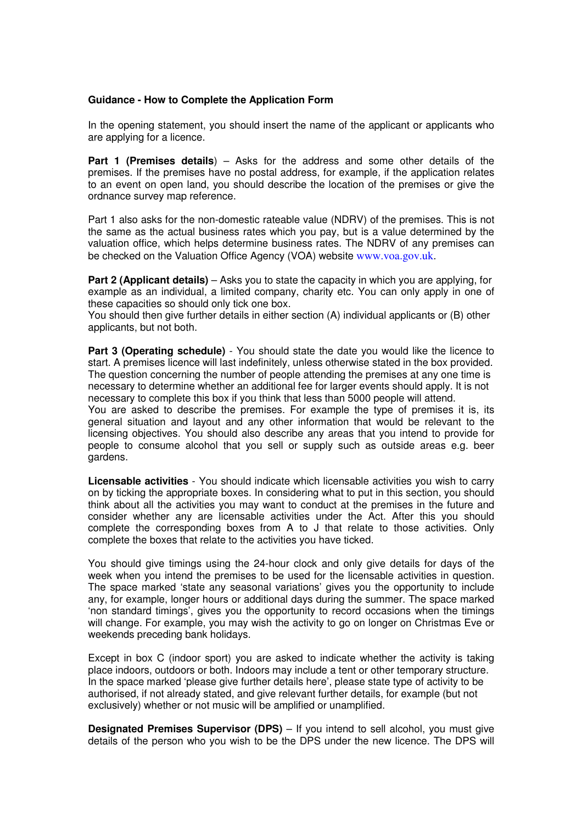## **Guidance - How to Complete the Application Form**

In the opening statement, you should insert the name of the applicant or applicants who are applying for a licence.

**Part 1 (Premises details**) – Asks for the address and some other details of the premises. If the premises have no postal address, for example, if the application relates to an event on open land, you should describe the location of the premises or give the ordnance survey map reference.

Part 1 also asks for the non-domestic rateable value (NDRV) of the premises. This is not the same as the actual business rates which you pay, but is a value determined by the valuation office, which helps determine business rates. The NDRV of any premises can be checked on the Valuation Office Agency (VOA) website www.voa.gov.uk.

**Part 2 (Applicant details)** – Asks you to state the capacity in which you are applying, for example as an individual, a limited company, charity etc. You can only apply in one of these capacities so should only tick one box.

You should then give further details in either section (A) individual applicants or (B) other applicants, but not both.

**Part 3 (Operating schedule)** - You should state the date you would like the licence to start. A premises licence will last indefinitely, unless otherwise stated in the box provided. The question concerning the number of people attending the premises at any one time is necessary to determine whether an additional fee for larger events should apply. It is not necessary to complete this box if you think that less than 5000 people will attend.

You are asked to describe the premises. For example the type of premises it is, its general situation and layout and any other information that would be relevant to the licensing objectives. You should also describe any areas that you intend to provide for people to consume alcohol that you sell or supply such as outside areas e.g. beer gardens.

**Licensable activities** - You should indicate which licensable activities you wish to carry on by ticking the appropriate boxes. In considering what to put in this section, you should think about all the activities you may want to conduct at the premises in the future and consider whether any are licensable activities under the Act. After this you should complete the corresponding boxes from A to J that relate to those activities. Only complete the boxes that relate to the activities you have ticked.

You should give timings using the 24-hour clock and only give details for days of the week when you intend the premises to be used for the licensable activities in question. The space marked 'state any seasonal variations' gives you the opportunity to include any, for example, longer hours or additional days during the summer. The space marked 'non standard timings', gives you the opportunity to record occasions when the timings will change. For example, you may wish the activity to go on longer on Christmas Eve or weekends preceding bank holidays.

Except in box C (indoor sport) you are asked to indicate whether the activity is taking place indoors, outdoors or both. Indoors may include a tent or other temporary structure. In the space marked 'please give further details here', please state type of activity to be authorised, if not already stated, and give relevant further details, for example (but not exclusively) whether or not music will be amplified or unamplified.

**Designated Premises Supervisor (DPS)** – If you intend to sell alcohol, you must give details of the person who you wish to be the DPS under the new licence. The DPS will